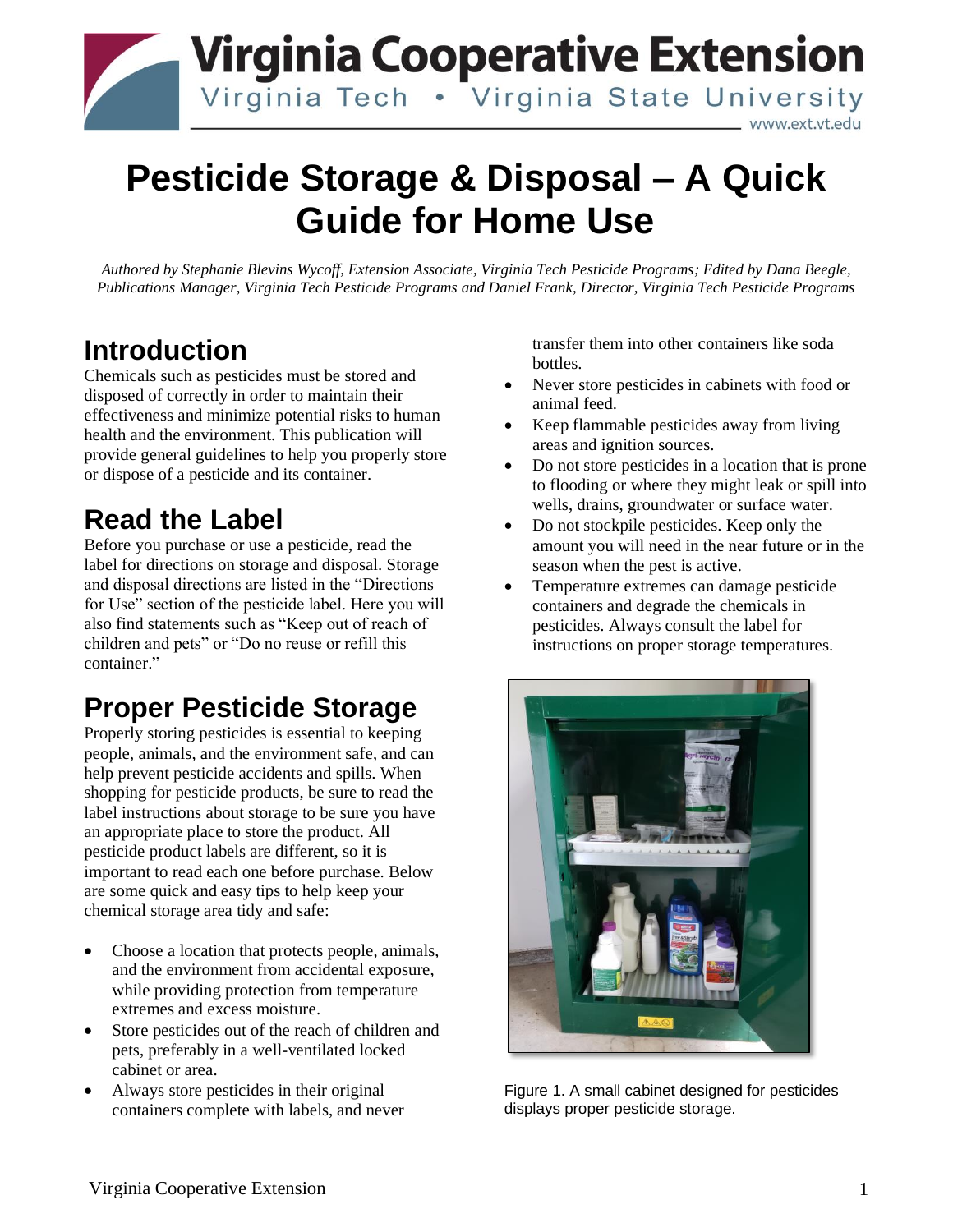

# **Pesticide Storage & Disposal – A Quick Guide for Home Use**

*Authored by Stephanie Blevins Wycoff, Extension Associate, Virginia Tech Pesticide Programs; Edited by Dana Beegle, Publications Manager, Virginia Tech Pesticide Programs and Daniel Frank, Director, Virginia Tech Pesticide Programs*

#### **Introduction**

Chemicals such as pesticides must be stored and disposed of correctly in order to maintain their effectiveness and minimize potential risks to human health and the environment. This publication will provide general guidelines to help you properly store or dispose of a pesticide and its container.

#### **Read the Label**

Before you purchase or use a pesticide, read the label for directions on storage and disposal. Storage and disposal directions are listed in the "Directions for Use" section of the pesticide label. Here you will also find statements such as "Keep out of reach of children and pets" or "Do no reuse or refill this container."

### **Proper Pesticide Storage**

Properly storing pesticides is essential to keeping people, animals, and the environment safe, and can help prevent pesticide accidents and spills. When shopping for pesticide products, be sure to read the label instructions about storage to be sure you have an appropriate place to store the product. All pesticide product labels are different, so it is important to read each one before purchase. Below are some quick and easy tips to help keep your chemical storage area tidy and safe:

- Choose a location that protects people, animals, and the environment from accidental exposure, while providing protection from temperature extremes and excess moisture.
- Store pesticides out of the reach of children and pets, preferably in a well-ventilated locked cabinet or area.
- Always store pesticides in their original containers complete with labels, and never

transfer them into other containers like soda bottles.

- Never store pesticides in cabinets with food or animal feed.
- Keep flammable pesticides away from living areas and ignition sources.
- Do not store pesticides in a location that is prone to flooding or where they might leak or spill into wells, drains, groundwater or surface water.
- Do not stockpile pesticides. Keep only the amount you will need in the near future or in the season when the pest is active.
- Temperature extremes can damage pesticide containers and degrade the chemicals in pesticides. Always consult the label for instructions on proper storage temperatures.



Figure 1. A small cabinet designed for pesticides displays proper pesticide storage.